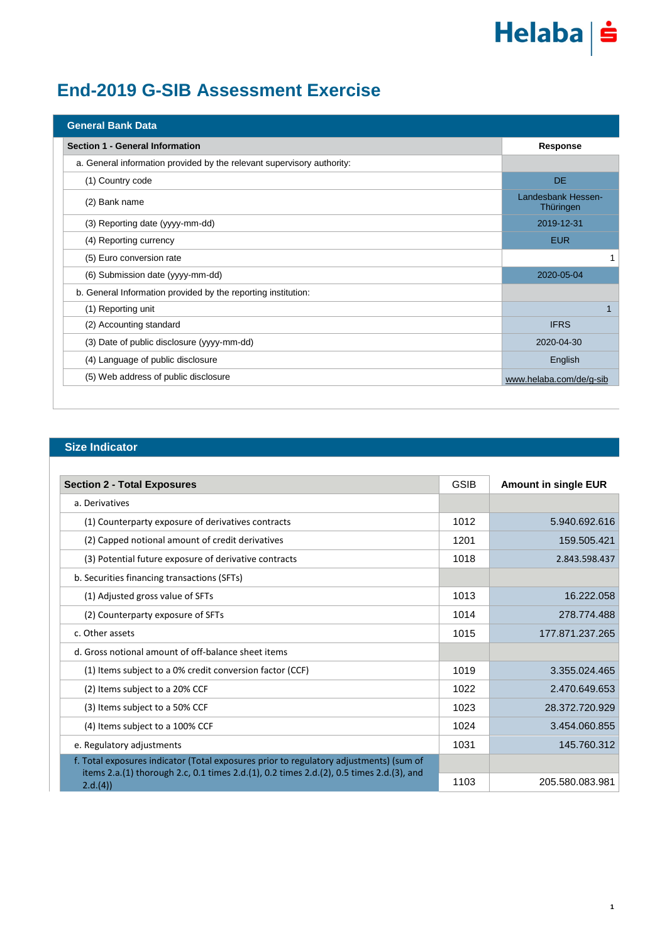## Helaba | s

### **End-2019 G-SIB Assessment Exercise**

| <b>General Bank Data</b>                                               |                                 |
|------------------------------------------------------------------------|---------------------------------|
| Section 1 - General Information                                        | Response                        |
| a. General information provided by the relevant supervisory authority: |                                 |
| (1) Country code                                                       | DE.                             |
| (2) Bank name                                                          | Landesbank Hessen-<br>Thüringen |
| (3) Reporting date (yyyy-mm-dd)                                        | 2019-12-31                      |
| (4) Reporting currency                                                 | <b>EUR</b>                      |
| (5) Euro conversion rate                                               |                                 |
| (6) Submission date (yyyy-mm-dd)                                       | 2020-05-04                      |
| b. General Information provided by the reporting institution:          |                                 |
| (1) Reporting unit                                                     |                                 |
| (2) Accounting standard                                                | <b>IFRS</b>                     |
| (3) Date of public disclosure (yyyy-mm-dd)                             | 2020-04-30                      |
| (4) Language of public disclosure                                      | English                         |
| (5) Web address of public disclosure                                   | www.helaba.com/de/g-sib         |

#### **Size Indicator**

| <b>Section 2 - Total Exposures</b>                                                                  | <b>GSIB</b> | <b>Amount in single EUR</b> |
|-----------------------------------------------------------------------------------------------------|-------------|-----------------------------|
| a. Derivatives                                                                                      |             |                             |
| (1) Counterparty exposure of derivatives contracts                                                  | 1012        | 5.940.692.616               |
| (2) Capped notional amount of credit derivatives                                                    | 1201        | 159.505.421                 |
| (3) Potential future exposure of derivative contracts                                               | 1018        | 2.843.598.437               |
| b. Securities financing transactions (SFTs)                                                         |             |                             |
| (1) Adjusted gross value of SFTs                                                                    | 1013        | 16.222.058                  |
| (2) Counterparty exposure of SFTs                                                                   | 1014        | 278.774.488                 |
| c. Other assets                                                                                     | 1015        | 177.871.237.265             |
| d. Gross notional amount of off-balance sheet items                                                 |             |                             |
| (1) Items subject to a 0% credit conversion factor (CCF)                                            | 1019        | 3.355.024.465               |
| (2) Items subject to a 20% CCF                                                                      | 1022        | 2.470.649.653               |
| (3) Items subject to a 50% CCF                                                                      | 1023        | 28.372.720.929              |
| (4) Items subject to a 100% CCF                                                                     | 1024        | 3.454.060.855               |
| e. Regulatory adjustments                                                                           | 1031        | 145.760.312                 |
| f. Total exposures indicator (Total exposures prior to regulatory adjustments) (sum of              |             |                             |
| items 2.a.(1) thorough 2.c, 0.1 times 2.d.(1), 0.2 times 2.d.(2), 0.5 times 2.d.(3), and<br>2.d.(4) | 1103        | 205.580.083.981             |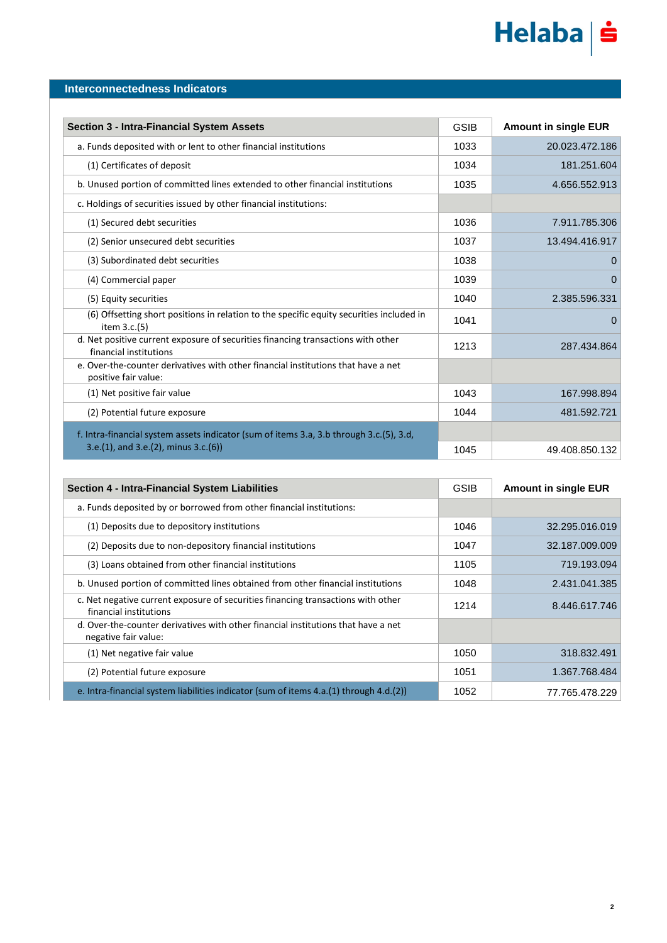# Helaba | s

#### **Interconnectedness Indicators**

| <b>Section 3 - Intra-Financial System Assets</b>                                                           | <b>GSIB</b> | <b>Amount in single EUR</b> |
|------------------------------------------------------------------------------------------------------------|-------------|-----------------------------|
| a. Funds deposited with or lent to other financial institutions                                            | 1033        | 20.023.472.186              |
| (1) Certificates of deposit                                                                                | 1034        | 181.251.604                 |
| b. Unused portion of committed lines extended to other financial institutions                              | 1035        | 4.656.552.913               |
| c. Holdings of securities issued by other financial institutions:                                          |             |                             |
| (1) Secured debt securities                                                                                | 1036        | 7.911.785.306               |
| (2) Senior unsecured debt securities                                                                       | 1037        | 13.494.416.917              |
| (3) Subordinated debt securities                                                                           | 1038        | O                           |
| (4) Commercial paper                                                                                       | 1039        | 0                           |
| (5) Equity securities                                                                                      | 1040        | 2.385.596.331               |
| (6) Offsetting short positions in relation to the specific equity securities included in<br>item $3.c.(5)$ | 1041        | $\Omega$                    |
| d. Net positive current exposure of securities financing transactions with other<br>financial institutions | 1213        | 287.434.864                 |
| e. Over-the-counter derivatives with other financial institutions that have a net<br>positive fair value:  |             |                             |
| (1) Net positive fair value                                                                                | 1043        | 167.998.894                 |
| (2) Potential future exposure                                                                              | 1044        | 481.592.721                 |
| f. Intra-financial system assets indicator (sum of items 3.a, 3.b through 3.c.(5), 3.d,                    |             |                             |
| $3.e.(1)$ , and $3.e.(2)$ , minus $3.c.(6)$                                                                | 1045        | 49.408.850.132              |

| <b>Section 4 - Intra-Financial System Liabilities</b>                                                      | <b>GSIB</b> | <b>Amount in single EUR</b> |
|------------------------------------------------------------------------------------------------------------|-------------|-----------------------------|
| a. Funds deposited by or borrowed from other financial institutions:                                       |             |                             |
| (1) Deposits due to depository institutions                                                                | 1046        | 32.295.016.019              |
| (2) Deposits due to non-depository financial institutions                                                  | 1047        | 32.187.009.009              |
| (3) Loans obtained from other financial institutions                                                       | 1105        | 719.193.094                 |
| b. Unused portion of committed lines obtained from other financial institutions                            | 1048        | 2.431.041.385               |
| c. Net negative current exposure of securities financing transactions with other<br>financial institutions | 1214        | 8.446.617.746               |
| d. Over-the-counter derivatives with other financial institutions that have a net<br>negative fair value:  |             |                             |
| (1) Net negative fair value                                                                                | 1050        | 318.832.491                 |
| (2) Potential future exposure                                                                              | 1051        | 1.367.768.484               |
| e. Intra-financial system liabilities indicator (sum of items 4.a.(1) through 4.d.(2))                     | 1052        | 77.765.478.229              |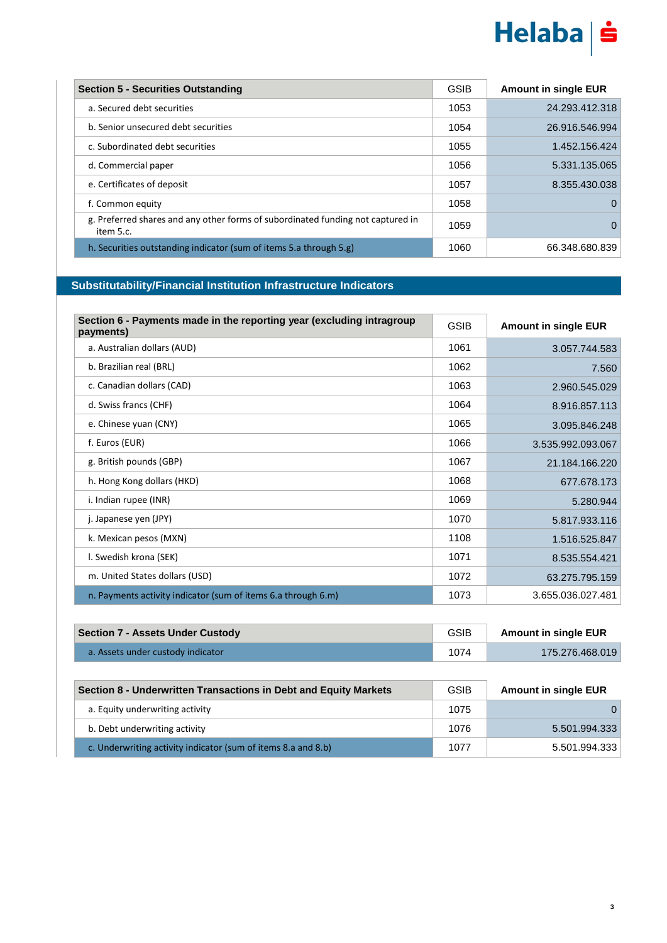

| <b>Section 5 - Securities Outstanding</b>                                                    | <b>GSIB</b> | <b>Amount in single EUR</b> |
|----------------------------------------------------------------------------------------------|-------------|-----------------------------|
| a. Secured debt securities                                                                   | 1053        | 24.293.412.318              |
| b. Senior unsecured debt securities                                                          | 1054        | 26.916.546.994              |
| c. Subordinated debt securities                                                              | 1055        | 1.452.156.424               |
| d. Commercial paper                                                                          | 1056        | 5.331.135.065               |
| e. Certificates of deposit                                                                   | 1057        | 8.355.430.038               |
| f. Common equity                                                                             | 1058        | $\Omega$                    |
| g. Preferred shares and any other forms of subordinated funding not captured in<br>item 5.c. | 1059        | $\Omega$                    |
| h. Securities outstanding indicator (sum of items 5.a through 5.g)                           | 1060        | 66.348.680.839              |

#### **Substitutability/Financial Institution Infrastructure Indicators**

| Section 6 - Payments made in the reporting year (excluding intragroup<br>payments) | <b>GSIB</b> | <b>Amount in single EUR</b> |
|------------------------------------------------------------------------------------|-------------|-----------------------------|
| a. Australian dollars (AUD)                                                        | 1061        | 3.057.744.583               |
| b. Brazilian real (BRL)                                                            | 1062        | 7.560                       |
| c. Canadian dollars (CAD)                                                          | 1063        | 2.960.545.029               |
| d. Swiss francs (CHF)                                                              | 1064        | 8.916.857.113               |
| e. Chinese yuan (CNY)                                                              | 1065        | 3.095.846.248               |
| f. Euros (EUR)                                                                     | 1066        | 3.535.992.093.067           |
| g. British pounds (GBP)                                                            | 1067        | 21.184.166.220              |
| h. Hong Kong dollars (HKD)                                                         | 1068        | 677.678.173                 |
| i. Indian rupee (INR)                                                              | 1069        | 5.280.944                   |
| j. Japanese yen (JPY)                                                              | 1070        | 5.817.933.116               |
| k. Mexican pesos (MXN)                                                             | 1108        | 1.516.525.847               |
| I. Swedish krona (SEK)                                                             | 1071        | 8.535.554.421               |
| m. United States dollars (USD)                                                     | 1072        | 63.275.795.159              |
| n. Payments activity indicator (sum of items 6.a through 6.m)                      | 1073        | 3.655.036.027.481           |

| <b>Section 7 - Assets Under Custody</b> | <b>GSIB</b> | <b>Amount in single EUR</b> |
|-----------------------------------------|-------------|-----------------------------|
| a. Assets under custody indicator       | 1074        | 175.276.468.019             |

| Section 8 - Underwritten Transactions in Debt and Equity Markets | <b>GSIB</b> | <b>Amount in single EUR</b> |
|------------------------------------------------------------------|-------------|-----------------------------|
| a. Equity underwriting activity                                  | 1075        | $\Omega$                    |
| b. Debt underwriting activity                                    | 1076        | 5.501.994.333               |
| c. Underwriting activity indicator (sum of items 8.a and 8.b)    | 1077        | 5.501.994.333               |